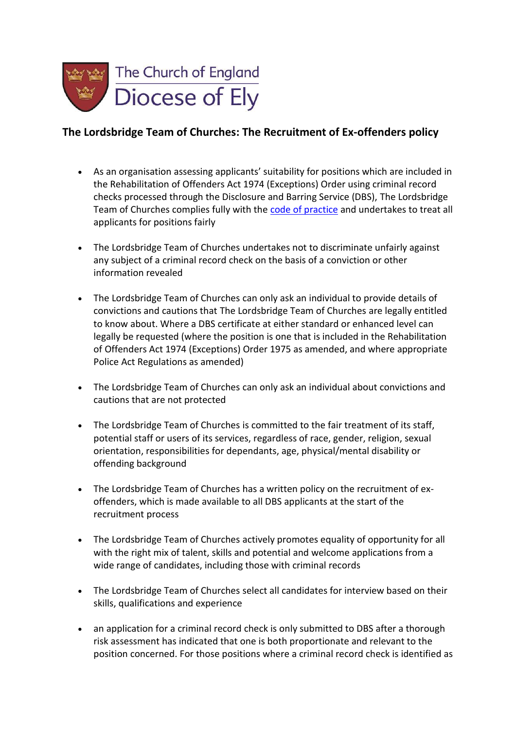

## **The Lordsbridge Team of Churches: The Recruitment of Ex-offenders policy**

- As an organisation assessing applicants' suitability for positions which are included in the Rehabilitation of Offenders Act 1974 (Exceptions) Order using criminal record checks processed through the Disclosure and Barring Service (DBS), The Lordsbridge Team of Churches complies fully with th[e code of practice](https://www.gov.uk/government/publications/dbs-code-of-practice) and undertakes to treat all applicants for positions fairly
- The Lordsbridge Team of Churches undertakes not to discriminate unfairly against any subject of a criminal record check on the basis of a conviction or other information revealed
- The Lordsbridge Team of Churches can only ask an individual to provide details of convictions and cautions that The Lordsbridge Team of Churches are legally entitled to know about. Where a DBS certificate at either standard or enhanced level can legally be requested (where the position is one that is included in the Rehabilitation of Offenders Act 1974 (Exceptions) Order 1975 as amended, and where appropriate Police Act Regulations as amended)
- The Lordsbridge Team of Churches can only ask an individual about convictions and cautions that are not protected
- The Lordsbridge Team of Churches is committed to the fair treatment of its staff, potential staff or users of its services, regardless of race, gender, religion, sexual orientation, responsibilities for dependants, age, physical/mental disability or offending background
- The Lordsbridge Team of Churches has a written policy on the recruitment of exoffenders, which is made available to all DBS applicants at the start of the recruitment process
- The Lordsbridge Team of Churches actively promotes equality of opportunity for all with the right mix of talent, skills and potential and welcome applications from a wide range of candidates, including those with criminal records
- The Lordsbridge Team of Churches select all candidates for interview based on their skills, qualifications and experience
- an application for a criminal record check is only submitted to DBS after a thorough risk assessment has indicated that one is both proportionate and relevant to the position concerned. For those positions where a criminal record check is identified as